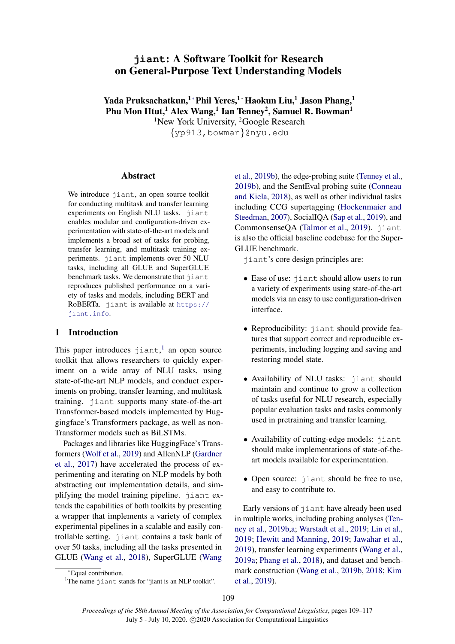# **jiant**: A Software Toolkit for Research on General-Purpose Text Understanding Models

Yada Pruksachatkun,<sup>1</sup>\*Phil Yeres,<sup>1</sup>\*Haokun Liu,<sup>1</sup> Jason Phang,<sup>1</sup> Phu Mon Htut,<sup>1</sup> Alex Wang,<sup>1</sup> Ian Tenney<sup>2</sup>, Samuel R. Bowman<sup>1</sup>

<sup>1</sup>New York University, <sup>2</sup>Google Research {yp913,bowman}@nyu.edu

#### Abstract

We introduce jiant, an open source toolkit for conducting multitask and transfer learning experiments on English NLU tasks. jiant enables modular and configuration-driven experimentation with state-of-the-art models and implements a broad set of tasks for probing, transfer learning, and multitask training experiments. jiant implements over 50 NLU tasks, including all GLUE and SuperGLUE benchmark tasks. We demonstrate that jiant reproduces published performance on a variety of tasks and models, including BERT and RoBERTa. jiant is available at [https://](https://jiant.info) [jiant.info](https://jiant.info).

#### 1 Introduction

This paper introduces  $j$ iant,<sup>[1](#page-0-0)</sup> an open source toolkit that allows researchers to quickly experiment on a wide array of NLU tasks, using state-of-the-art NLP models, and conduct experiments on probing, transfer learning, and multitask training. jiant supports many state-of-the-art Transformer-based models implemented by Huggingface's Transformers package, as well as non-Transformer models such as BiLSTMs.

Packages and libraries like HuggingFace's Transformers [\(Wolf et al.,](#page-7-0) [2019\)](#page-7-0) and AllenNLP [\(Gardner](#page-6-0) [et al.,](#page-6-0) [2017\)](#page-6-0) have accelerated the process of experimenting and iterating on NLP models by both abstracting out implementation details, and simplifying the model training pipeline. jiant extends the capabilities of both toolkits by presenting a wrapper that implements a variety of complex experimental pipelines in a scalable and easily controllable setting. jiant contains a task bank of over 50 tasks, including all the tasks presented in GLUE [\(Wang et al.,](#page-7-1) [2018\)](#page-7-1), SuperGLUE [\(Wang](#page-7-2)

[et al.,](#page-7-2) [2019b\)](#page-7-2), the edge-probing suite [\(Tenney et al.,](#page-7-3) [2019b\)](#page-7-3), and the SentEval probing suite [\(Conneau](#page-5-0) [and Kiela,](#page-5-0) [2018\)](#page-5-0), as well as other individual tasks including CCG supertagging [\(Hockenmaier and](#page-6-1) [Steedman,](#page-6-1) [2007\)](#page-6-1), SocialIQA [\(Sap et al.,](#page-7-4) [2019\)](#page-7-4), and CommonsenseQA [\(Talmor et al.,](#page-7-5) [2019\)](#page-7-5). jiant is also the official baseline codebase for the Super-GLUE benchmark.

jiant's core design principles are:

- Ease of use: jiant should allow users to run a variety of experiments using state-of-the-art models via an easy to use configuration-driven interface.
- Reproducibility: jiant should provide features that support correct and reproducible experiments, including logging and saving and restoring model state.
- Availability of NLU tasks: jiant should maintain and continue to grow a collection of tasks useful for NLU research, especially popular evaluation tasks and tasks commonly used in pretraining and transfer learning.
- Availability of cutting-edge models: jiant should make implementations of state-of-theart models available for experimentation.
- Open source: jiant should be free to use, and easy to contribute to.

Early versions of jiant have already been used in multiple works, including probing analyses [\(Ten](#page-7-3)[ney et al.,](#page-7-3) [2019b](#page-7-3)[,a;](#page-7-6) [Warstadt et al.,](#page-7-7) [2019;](#page-7-7) [Lin et al.,](#page-6-2) [2019;](#page-6-2) [Hewitt and Manning,](#page-6-3) [2019;](#page-6-3) [Jawahar et al.,](#page-6-4) [2019\)](#page-6-4), transfer learning experiments [\(Wang et al.,](#page-7-8) [2019a;](#page-7-8) [Phang et al.,](#page-6-5) [2018\)](#page-6-5), and dataset and benchmark construction [\(Wang et al.,](#page-7-2) [2019b,](#page-7-2) [2018;](#page-7-1) [Kim](#page-6-6) [et al.,](#page-6-6) [2019\)](#page-6-6).

<sup>∗</sup>[Equal contribution.](#page-7-2)

<span id="page-0-0"></span><sup>&</sup>lt;sup>1</sup>The name jiant [stands for "jiant is an NLP toolkit".](#page-7-2)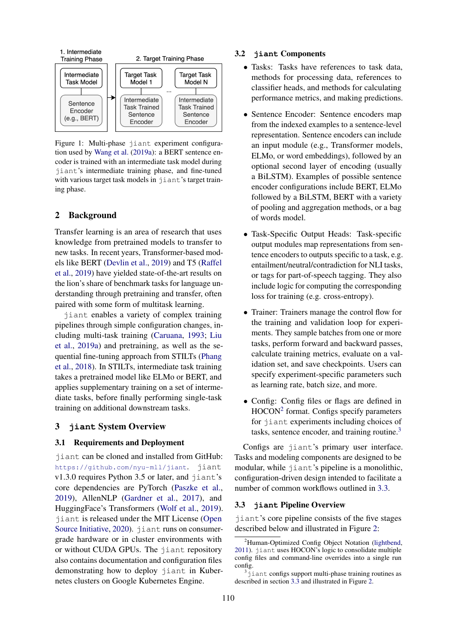

Figure 1: Multi-phase jiant experiment configuration used by [Wang et al.](#page-7-8) [\(2019a\)](#page-7-8): a BERT sentence encoder is trained with an intermediate task model during jiant's intermediate training phase, and fine-tuned with various target task models in jiant's target training phase.

# 2 Background

Transfer learning is an area of research that uses knowledge from pretrained models to transfer to new tasks. In recent years, Transformer-based models like BERT [\(Devlin et al.,](#page-5-1) [2019\)](#page-5-1) and T5 [\(Raffel](#page-7-9) [et al.,](#page-7-9) [2019\)](#page-7-9) have yielded state-of-the-art results on the lion's share of benchmark tasks for language understanding through pretraining and transfer, often paired with some form of multitask learning.

jiant enables a variety of complex training pipelines through simple configuration changes, including multi-task training [\(Caruana,](#page-5-2) [1993;](#page-5-2) [Liu](#page-6-7) [et al.,](#page-6-7) [2019a\)](#page-6-7) and pretraining, as well as the sequential fine-tuning approach from STILTs [\(Phang](#page-6-5) [et al.,](#page-6-5) [2018\)](#page-6-5). In STILTs, intermediate task training takes a pretrained model like ELMo or BERT, and applies supplementary training on a set of intermediate tasks, before finally performing single-task training on additional downstream tasks.

# 3 **jiant** System Overview

# 3.1 Requirements and Deployment

jiant can be cloned and installed from GitHub: <https://github.com/nyu-mll/jiant>. jiant v1.3.0 requires Python 3.5 or later, and jiant's core dependencies are PyTorch [\(Paszke et al.,](#page-6-8) [2019\)](#page-6-8), AllenNLP [\(Gardner et al.,](#page-6-0) [2017\)](#page-6-0), and HuggingFace's Transformers [\(Wolf et al.,](#page-7-0) [2019\)](#page-7-0). jiant is released under the MIT License [\(Open](#page-6-9) [Source Initiative,](#page-6-9) [2020\)](#page-6-9). jiant runs on consumergrade hardware or in cluster environments with or without CUDA GPUs. The jiant repository also contains documentation and configuration files demonstrating how to deploy jiant in Kubernetes clusters on Google Kubernetes Engine.

#### 3.2 **jiant** Components

- Tasks: Tasks have references to task data, methods for processing data, references to classifier heads, and methods for calculating performance metrics, and making predictions.
- Sentence Encoder: Sentence encoders map from the indexed examples to a sentence-level representation. Sentence encoders can include an input module (e.g., Transformer models, ELMo, or word embeddings), followed by an optional second layer of encoding (usually a BiLSTM). Examples of possible sentence encoder configurations include BERT, ELMo followed by a BiLSTM, BERT with a variety of pooling and aggregation methods, or a bag of words model.
- Task-Specific Output Heads: Task-specific output modules map representations from sentence encoders to outputs specific to a task, e.g. entailment/neutral/contradiction for NLI tasks, or tags for part-of-speech tagging. They also include logic for computing the corresponding loss for training (e.g. cross-entropy).
- Trainer: Trainers manage the control flow for the training and validation loop for experiments. They sample batches from one or more tasks, perform forward and backward passes, calculate training metrics, evaluate on a validation set, and save checkpoints. Users can specify experiment-specific parameters such as learning rate, batch size, and more.
- Config: Config files or flags are defined in HOCON<sup>[2](#page-1-0)</sup> format. Configs specify parameters for jiant experiments including choices of tasks, sentence encoder, and training routine.<sup>[3](#page-1-1)</sup>

Configs are jiant's primary user interface. Tasks and modeling components are designed to be modular, while jiant's pipeline is a monolithic, configuration-driven design intended to facilitate a number of common workflows outlined in [3.3.](#page-1-2)

#### <span id="page-1-2"></span>3.3 **jiant** Pipeline Overview

jiant's core pipeline consists of the five stages described below and illustrated in Figure [2:](#page-2-0)

<span id="page-1-0"></span><sup>&</sup>lt;sup>2</sup>Human-Optimized Config Object Notation [\(lightbend,](#page-6-10) [2011\)](#page-6-10). jiant uses HOCON's logic to consolidate multiple config files and command-line overrides into a single run config.

<span id="page-1-1"></span> $3$ jiant configs support multi-phase training routines as described in section [3.3](#page-1-2) and illustrated in Figure [2.](#page-2-0)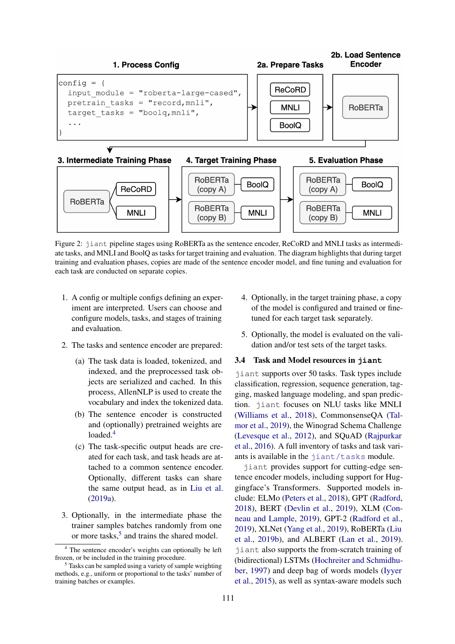<span id="page-2-0"></span>



Figure 2: jiant pipeline stages using RoBERTa as the sentence encoder, ReCoRD and MNLI tasks as intermediate tasks, and MNLI and BoolQ as tasks for target training and evaluation. The diagram highlights that during target training and evaluation phases, copies are made of the sentence encoder model, and fine tuning and evaluation for each task are conducted on separate copies.

- 1. A config or multiple configs defining an experiment are interpreted. Users can choose and configure models, tasks, and stages of training and evaluation.
- 2. The tasks and sentence encoder are prepared:
	- (a) The task data is loaded, tokenized, and indexed, and the preprocessed task objects are serialized and cached. In this process, AllenNLP is used to create the vocabulary and index the tokenized data.
	- (b) The sentence encoder is constructed and (optionally) pretrained weights are loaded.<sup>[4](#page-2-1)</sup>
	- (c) The task-specific output heads are created for each task, and task heads are attached to a common sentence encoder. Optionally, different tasks can share the same output head, as in [Liu et al.](#page-6-7) [\(2019a\)](#page-6-7).
- 3. Optionally, in the intermediate phase the trainer samples batches randomly from one or more tasks,<sup>[5](#page-2-2)</sup> and trains the shared model.
- 4. Optionally, in the target training phase, a copy of the model is configured and trained or finetuned for each target task separately.
- 5. Optionally, the model is evaluated on the validation and/or test sets of the target tasks.

#### 3.4 Task and Model resources in **jiant**

jiant supports over 50 tasks. Task types include classification, regression, sequence generation, tagging, masked language modeling, and span prediction. jiant focuses on NLU tasks like MNLI [\(Williams et al.,](#page-7-10) [2018\)](#page-7-10), CommonsenseQA [\(Tal](#page-7-5)[mor et al.,](#page-7-5) [2019\)](#page-7-5), the Winograd Schema Challenge [\(Levesque et al.,](#page-6-11) [2012\)](#page-6-11), and SQuAD [\(Rajpurkar](#page-7-11) [et al.,](#page-7-11) [2016\)](#page-7-11). A full inventory of tasks and task variants is available in the [jiant/tasks](https://github.com/nyu-mll/jiant/tree/master/jiant/tasks) module.

jiant provides support for cutting-edge sentence encoder models, including support for Huggingface's Transformers. Supported models include: ELMo [\(Peters et al.,](#page-6-12) [2018\)](#page-6-12), GPT [\(Radford,](#page-6-13) [2018\)](#page-6-13), BERT [\(Devlin et al.,](#page-5-1) [2019\)](#page-5-1), XLM [\(Con](#page-5-3)[neau and Lample,](#page-5-3) [2019\)](#page-5-3), GPT-2 [\(Radford et al.,](#page-7-12) [2019\)](#page-7-12), XLNet [\(Yang et al.,](#page-7-13) [2019\)](#page-7-13), RoBERTa [\(Liu](#page-6-14) [et al.,](#page-6-14) [2019b\)](#page-6-14), and ALBERT [\(Lan et al.,](#page-6-15) [2019\)](#page-6-15). jiant also supports the from-scratch training of (bidirectional) LSTMs [\(Hochreiter and Schmidhu](#page-6-16)[ber,](#page-6-16) [1997\)](#page-6-16) and deep bag of words models [\(Iyyer](#page-6-17) [et al.,](#page-6-17) [2015\)](#page-6-17), as well as syntax-aware models such

<span id="page-2-1"></span><sup>4</sup> The sentence encoder's weights can optionally be left frozen, or be included in the training procedure.

<span id="page-2-2"></span><sup>5</sup> Tasks can be sampled using a variety of sample weighting methods, e.g., uniform or proportional to the tasks' number of training batches or examples.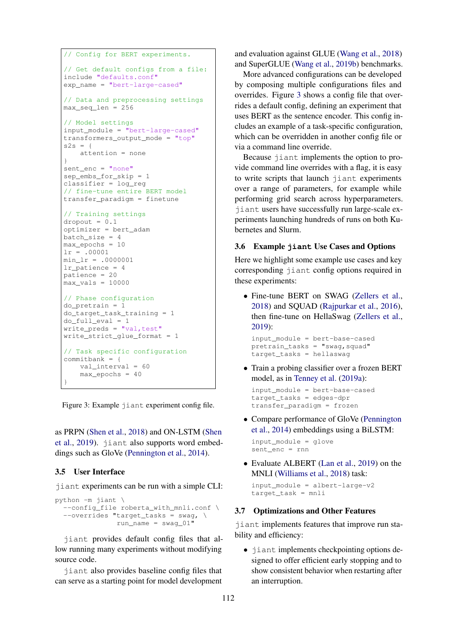```
// Config for BERT experiments.
// Get default configs from a file:
include "defaults.conf"
exp_name = "bert-large-cased"
// Data and preprocessing settings
max seq len = 256// Model settings
input_module = "bert-large-cased"
transformers_output_mode = "top"
s2s = fattention = none
}
sent_enc = "none"
sep_embs_for_skip = 1
classifier = log_reg
// fine-tune entire BERT model
transfer_paradigm = finetune
// Training settings
\sigmadropout = 0.1optimizer = bert_adam
batch_size = 4
max_epochs = 10
lr = .00001
min lr = .0000001lr_patience = 4
patience = 20
max vals = 10000
// Phase configuration
do_pretrain = 1
do_target_task_training = 1
do_full_eval = 1
write_preds = "val, test"
write_strict_glue_format = 1
// Task specific configuration
committbank = {val_interval = 60
    max\_epochs = 40}
```
Figure 3: Example jiant experiment config file.

as PRPN [\(Shen et al.,](#page-7-14) [2018\)](#page-7-14) and ON-LSTM [\(Shen](#page-7-15) [et al.,](#page-7-15) [2019\)](#page-7-15). jiant also supports word embeddings such as GloVe [\(Pennington et al.,](#page-6-18) [2014\)](#page-6-18).

# 3.5 User Interface

jiant experiments can be run with a simple CLI:

```
python -m jiant \
  --config_file roberta_with_mnli.conf \
  --overides "target_tasks = swag, \
               run_name = swag_01"
```
jiant provides default config files that allow running many experiments without modifying source code.

jiant also provides baseline config files that can serve as a starting point for model development

and evaluation against GLUE [\(Wang et al.,](#page-7-1) [2018\)](#page-7-1) and SuperGLUE [\(Wang et al.,](#page-7-2) [2019b\)](#page-7-2) benchmarks.

More advanced configurations can be developed by composing multiple configurations files and overrides. Figure [3](#page-3-0) shows a config file that overrides a default config, defining an experiment that uses BERT as the sentence encoder. This config includes an example of a task-specific configuration, which can be overridden in another config file or via a command line override.

Because jiant implements the option to provide command line overrides with a flag, it is easy to write scripts that launch jiant experiments over a range of parameters, for example while performing grid search across hyperparameters. jiant users have successfully run large-scale experiments launching hundreds of runs on both Kubernetes and Slurm.

# 3.6 Example **jiant** Use Cases and Options

Here we highlight some example use cases and key corresponding jiant config options required in these experiments:

• Fine-tune BERT on SWAG [\(Zellers et al.,](#page-7-16) [2018\)](#page-7-16) and SQUAD [\(Rajpurkar et al.,](#page-7-11) [2016\)](#page-7-11), then fine-tune on HellaSwag [\(Zellers et al.,](#page-8-0) [2019\)](#page-8-0):

```
input_module = bert-base-cased
pretrain_tasks = "swag,squad"
target_tasks = hellaswag
```
• Train a probing classifier over a frozen BERT model, as in [Tenney et al.](#page-7-6) [\(2019a\)](#page-7-6):

```
input_module = bert-base-cased
target_tasks = edges-dpr
transfer_paradigm = frozen
```
• Compare performance of GloVe [\(Pennington](#page-6-18) [et al.,](#page-6-18) [2014\)](#page-6-18) embeddings using a BiLSTM:

```
input_module = glove
sent_enc = run
```
• Evaluate ALBERT [\(Lan et al.,](#page-6-15) [2019\)](#page-6-15) on the MNLI [\(Williams et al.,](#page-7-10) [2018\)](#page-7-10) task:

```
input_module = albert-large-v2
target_task = mnli
```
# 3.7 Optimizations and Other Features

jiant implements features that improve run stability and efficiency:

• jiant implements checkpointing options designed to offer efficient early stopping and to show consistent behavior when restarting after an interruption.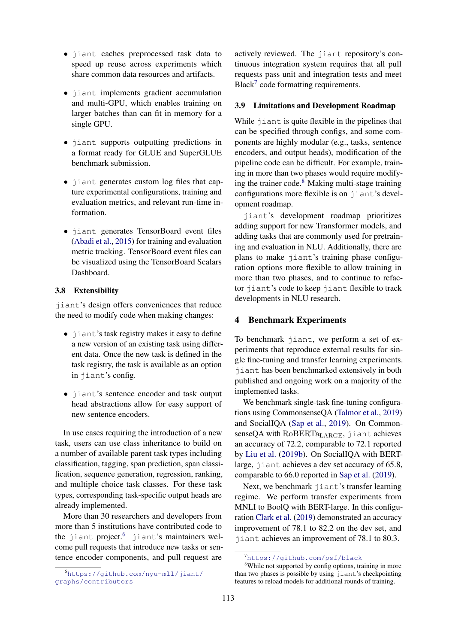- jiant caches preprocessed task data to speed up reuse across experiments which share common data resources and artifacts.
- jiant implements gradient accumulation and multi-GPU, which enables training on larger batches than can fit in memory for a single GPU.
- jiant supports outputting predictions in a format ready for GLUE and SuperGLUE benchmark submission.
- jiant generates custom log files that capture experimental configurations, training and evaluation metrics, and relevant run-time information.
- jiant generates TensorBoard event files [\(Abadi et al.,](#page-5-4) [2015\)](#page-5-4) for training and evaluation metric tracking. TensorBoard event files can be visualized using the TensorBoard Scalars Dashboard.

# 3.8 Extensibility

jiant's design offers conveniences that reduce the need to modify code when making changes:

- jiant's task registry makes it easy to define a new version of an existing task using different data. Once the new task is defined in the task registry, the task is available as an option in jiant's config.
- jiant's sentence encoder and task output head abstractions allow for easy support of new sentence encoders.

In use cases requiring the introduction of a new task, users can use class inheritance to build on a number of available parent task types including classification, tagging, span prediction, span classification, sequence generation, regression, ranking, and multiple choice task classes. For these task types, corresponding task-specific output heads are already implemented.

More than 30 researchers and developers from more than 5 institutions have contributed code to the jiant project.<sup>[6](#page-4-0)</sup> jiant's maintainers welcome pull requests that introduce new tasks or sentence encoder components, and pull request are

actively reviewed. The jiant repository's continuous integration system requires that all pull requests pass unit and integration tests and meet Black<sup>[7](#page-4-1)</sup> code formatting requirements.

### 3.9 Limitations and Development Roadmap

While jiant is quite flexible in the pipelines that can be specified through configs, and some components are highly modular (e.g., tasks, sentence encoders, and output heads), modification of the pipeline code can be difficult. For example, training in more than two phases would require modifying the trainer code. $8$  Making multi-stage training configurations more flexible is on jiant's development roadmap.

jiant's development roadmap prioritizes adding support for new Transformer models, and adding tasks that are commonly used for pretraining and evaluation in NLU. Additionally, there are plans to make jiant's training phase configuration options more flexible to allow training in more than two phases, and to continue to refactor jiant's code to keep jiant flexible to track developments in NLU research.

## 4 Benchmark Experiments

To benchmark jiant, we perform a set of experiments that reproduce external results for single fine-tuning and transfer learning experiments. jiant has been benchmarked extensively in both published and ongoing work on a majority of the implemented tasks.

We benchmark single-task fine-tuning configurations using CommonsenseQA [\(Talmor et al.,](#page-7-5) [2019\)](#page-7-5) and SocialIQA [\(Sap et al.,](#page-7-4) [2019\)](#page-7-4). On CommonsenseQA with RoBERTa<sub>LARGE</sub>, jiant achieves an accuracy of 72.2, comparable to 72.1 reported by [Liu et al.](#page-6-14) [\(2019b\)](#page-6-14). On SocialIQA with BERTlarge, jiant achieves a dev set accuracy of 65.8, comparable to 66.0 reported in [Sap et al.](#page-7-4) [\(2019\)](#page-7-4).

Next, we benchmark jiant's transfer learning regime. We perform transfer experiments from MNLI to BoolQ with BERT-large. In this configuration [Clark et al.](#page-5-5) [\(2019\)](#page-5-5) demonstrated an accuracy improvement of 78.1 to 82.2 on the dev set, and jiant achieves an improvement of 78.1 to 80.3.

<span id="page-4-0"></span><sup>6</sup>[https://github.com/nyu-mll/jiant/](https://github.com/nyu-mll/jiant/graphs/contributors) [graphs/contributors](https://github.com/nyu-mll/jiant/graphs/contributors)

<span id="page-4-2"></span><span id="page-4-1"></span><sup>7</sup><https://github.com/psf/black>

<sup>&</sup>lt;sup>8</sup>While not supported by config options, training in more than two phases is possible by using jiant's checkpointing features to reload models for additional rounds of training.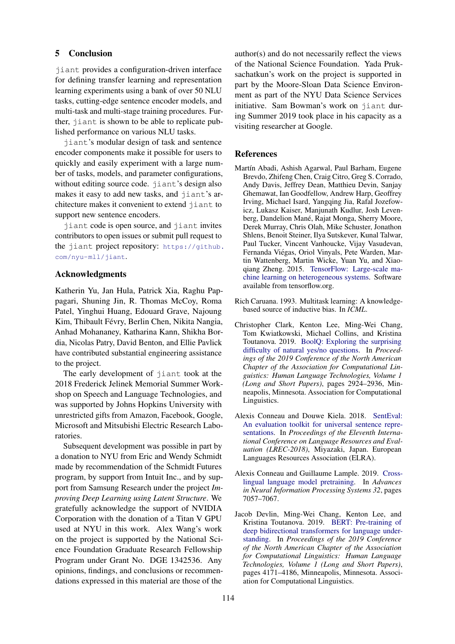## 5 Conclusion

jiant provides a configuration-driven interface for defining transfer learning and representation learning experiments using a bank of over 50 NLU tasks, cutting-edge sentence encoder models, and multi-task and multi-stage training procedures. Further, jiant is shown to be able to replicate published performance on various NLU tasks.

jiant's modular design of task and sentence encoder components make it possible for users to quickly and easily experiment with a large number of tasks, models, and parameter configurations, without editing source code. jiant's design also makes it easy to add new tasks, and jiant's architecture makes it convenient to extend jiant to support new sentence encoders.

jiant code is open source, and jiant invites contributors to open issues or submit pull request to the jiant project repository: [https://github.](https://github.com/nyu-mll/jiant) [com/nyu-mll/jiant](https://github.com/nyu-mll/jiant).

# Acknowledgments

Katherin Yu, Jan Hula, Patrick Xia, Raghu Pappagari, Shuning Jin, R. Thomas McCoy, Roma Patel, Yinghui Huang, Edouard Grave, Najoung Kim, Thibault Févry, Berlin Chen, Nikita Nangia, Anhad Mohananey, Katharina Kann, Shikha Bordia, Nicolas Patry, David Benton, and Ellie Pavlick have contributed substantial engineering assistance to the project.

The early development of jiant took at the 2018 Frederick Jelinek Memorial Summer Workshop on Speech and Language Technologies, and was supported by Johns Hopkins University with unrestricted gifts from Amazon, Facebook, Google, Microsoft and Mitsubishi Electric Research Laboratories.

Subsequent development was possible in part by a donation to NYU from Eric and Wendy Schmidt made by recommendation of the Schmidt Futures program, by support from Intuit Inc., and by support from Samsung Research under the project *Improving Deep Learning using Latent Structure*. We gratefully acknowledge the support of NVIDIA Corporation with the donation of a Titan V GPU used at NYU in this work. Alex Wang's work on the project is supported by the National Science Foundation Graduate Research Fellowship Program under Grant No. DGE 1342536. Any opinions, findings, and conclusions or recommendations expressed in this material are those of the

author(s) and do not necessarily reflect the views of the National Science Foundation. Yada Pruksachatkun's work on the project is supported in part by the Moore-Sloan Data Science Environment as part of the NYU Data Science Services initiative. Sam Bowman's work on jiant during Summer 2019 took place in his capacity as a visiting researcher at Google.

### References

- <span id="page-5-4"></span>Martín Abadi, Ashish Agarwal, Paul Barham, Eugene Brevdo, Zhifeng Chen, Craig Citro, Greg S. Corrado, Andy Davis, Jeffrey Dean, Matthieu Devin, Sanjay Ghemawat, Ian Goodfellow, Andrew Harp, Geoffrey Irving, Michael Isard, Yangqing Jia, Rafal Jozefowicz, Lukasz Kaiser, Manjunath Kudlur, Josh Levenberg, Dandelion Mané, Rajat Monga, Sherry Moore, Derek Murray, Chris Olah, Mike Schuster, Jonathon Shlens, Benoit Steiner, Ilya Sutskever, Kunal Talwar, Paul Tucker, Vincent Vanhoucke, Vijay Vasudevan, Fernanda Viegas, Oriol Vinyals, Pete Warden, Mar- ´ tin Wattenberg, Martin Wicke, Yuan Yu, and Xiaoqiang Zheng. 2015. [TensorFlow: Large-scale ma](https://www.tensorflow.org/)[chine learning on heterogeneous systems.](https://www.tensorflow.org/) Software available from tensorflow.org.
- <span id="page-5-2"></span>Rich Caruana. 1993. Multitask learning: A knowledgebased source of inductive bias. In *ICML*.
- <span id="page-5-5"></span>Christopher Clark, Kenton Lee, Ming-Wei Chang, Tom Kwiatkowski, Michael Collins, and Kristina Toutanova. 2019. [BoolQ: Exploring the surprising](https://doi.org/10.18653/v1/N19-1300) [difficulty of natural yes/no questions.](https://doi.org/10.18653/v1/N19-1300) In *Proceedings of the 2019 Conference of the North American Chapter of the Association for Computational Linguistics: Human Language Technologies, Volume 1 (Long and Short Papers)*, pages 2924–2936, Minneapolis, Minnesota. Association for Computational Linguistics.
- <span id="page-5-0"></span>Alexis Conneau and Douwe Kiela. 2018. [SentEval:](https://www.aclweb.org/anthology/L18-1269) [An evaluation toolkit for universal sentence repre](https://www.aclweb.org/anthology/L18-1269)[sentations.](https://www.aclweb.org/anthology/L18-1269) In *Proceedings of the Eleventh International Conference on Language Resources and Evaluation (LREC-2018)*, Miyazaki, Japan. European Languages Resources Association (ELRA).
- <span id="page-5-3"></span>Alexis Conneau and Guillaume Lample. 2019. [Cross](http://papers.nips.cc/paper/8928-cross-lingual-language-model-pretraining.pdf)[lingual language model pretraining.](http://papers.nips.cc/paper/8928-cross-lingual-language-model-pretraining.pdf) In *Advances in Neural Information Processing Systems 32*, pages 7057–7067.
- <span id="page-5-1"></span>Jacob Devlin, Ming-Wei Chang, Kenton Lee, and Kristina Toutanova. 2019. [BERT: Pre-training of](https://doi.org/10.18653/v1/N19-1423) [deep bidirectional transformers for language under](https://doi.org/10.18653/v1/N19-1423)[standing.](https://doi.org/10.18653/v1/N19-1423) In *Proceedings of the 2019 Conference of the North American Chapter of the Association for Computational Linguistics: Human Language Technologies, Volume 1 (Long and Short Papers)*, pages 4171–4186, Minneapolis, Minnesota. Association for Computational Linguistics.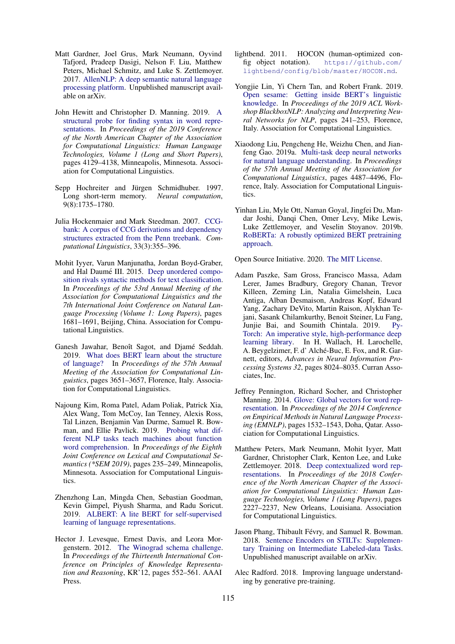- <span id="page-6-0"></span>Matt Gardner, Joel Grus, Mark Neumann, Oyvind Tafjord, Pradeep Dasigi, Nelson F. Liu, Matthew Peters, Michael Schmitz, and Luke S. Zettlemoyer. 2017. [AllenNLP: A deep semantic natural language](https://arxiv.org/abs/1803.07640) [processing platform.](https://arxiv.org/abs/1803.07640) Unpublished manuscript available on arXiv.
- <span id="page-6-3"></span>John Hewitt and Christopher D. Manning. 2019. [A](https://doi.org/10.18653/v1/N19-1419) [structural probe for finding syntax in word repre](https://doi.org/10.18653/v1/N19-1419)[sentations.](https://doi.org/10.18653/v1/N19-1419) In *Proceedings of the 2019 Conference of the North American Chapter of the Association for Computational Linguistics: Human Language Technologies, Volume 1 (Long and Short Papers)*, pages 4129–4138, Minneapolis, Minnesota. Association for Computational Linguistics.
- <span id="page-6-16"></span>Sepp Hochreiter and Jürgen Schmidhuber. 1997. Long short-term memory. *Neural computation*, 9(8):1735–1780.
- <span id="page-6-1"></span>Julia Hockenmaier and Mark Steedman. 2007. [CCG](https://doi.org/10.1162/coli.2007.33.3.355)[bank: A corpus of CCG derivations and dependency](https://doi.org/10.1162/coli.2007.33.3.355) [structures extracted from the Penn treebank.](https://doi.org/10.1162/coli.2007.33.3.355) *Computational Linguistics*, 33(3):355–396.
- <span id="page-6-17"></span>Mohit Iyyer, Varun Manjunatha, Jordan Boyd-Graber, and Hal Daumé III. 2015. [Deep unordered compo](https://doi.org/10.3115/v1/P15-1162)[sition rivals syntactic methods for text classification.](https://doi.org/10.3115/v1/P15-1162) In *Proceedings of the 53rd Annual Meeting of the Association for Computational Linguistics and the 7th International Joint Conference on Natural Language Processing (Volume 1: Long Papers)*, pages 1681–1691, Beijing, China. Association for Computational Linguistics.
- <span id="page-6-4"></span>Ganesh Jawahar, Benoît Sagot, and Djamé Seddah. 2019. [What does BERT learn about the structure](https://doi.org/10.18653/v1/P19-1356) [of language?](https://doi.org/10.18653/v1/P19-1356) In *Proceedings of the 57th Annual Meeting of the Association for Computational Linguistics*, pages 3651–3657, Florence, Italy. Association for Computational Linguistics.
- <span id="page-6-6"></span>Najoung Kim, Roma Patel, Adam Poliak, Patrick Xia, Alex Wang, Tom McCoy, Ian Tenney, Alexis Ross, Tal Linzen, Benjamin Van Durme, Samuel R. Bowman, and Ellie Pavlick. 2019. [Probing what dif](https://doi.org/10.18653/v1/S19-1026)[ferent NLP tasks teach machines about function](https://doi.org/10.18653/v1/S19-1026) [word comprehension.](https://doi.org/10.18653/v1/S19-1026) In *Proceedings of the Eighth Joint Conference on Lexical and Computational Semantics (\*SEM 2019)*, pages 235–249, Minneapolis, Minnesota. Association for Computational Linguistics.
- <span id="page-6-15"></span>Zhenzhong Lan, Mingda Chen, Sebastian Goodman, Kevin Gimpel, Piyush Sharma, and Radu Soricut. 2019. [ALBERT: A lite BERT for self-supervised](http://arxiv.org/abs/1909.11942) [learning of language representations.](http://arxiv.org/abs/1909.11942)
- <span id="page-6-11"></span>Hector J. Levesque, Ernest Davis, and Leora Morgenstern. 2012. [The Winograd schema challenge.](http://dl.acm.org/citation.cfm?id=3031843.3031909) In *Proceedings of the Thirteenth International Conference on Principles of Knowledge Representation and Reasoning*, KR'12, pages 552–561. AAAI Press.
- <span id="page-6-10"></span>lightbend. 2011. HOCON (human-optimized config object notation). [https://github.com/](https://github.com/lightbend/config/blob/master/HOCON.md) [lightbend/config/blob/master/HOCON.md](https://github.com/lightbend/config/blob/master/HOCON.md).
- <span id="page-6-2"></span>Yongjie Lin, Yi Chern Tan, and Robert Frank. 2019. [Open sesame: Getting inside BERT's linguistic](https://doi.org/10.18653/v1/W19-4825) [knowledge.](https://doi.org/10.18653/v1/W19-4825) In *Proceedings of the 2019 ACL Workshop BlackboxNLP: Analyzing and Interpreting Neural Networks for NLP*, pages 241–253, Florence, Italy. Association for Computational Linguistics.
- <span id="page-6-7"></span>Xiaodong Liu, Pengcheng He, Weizhu Chen, and Jianfeng Gao. 2019a. [Multi-task deep neural networks](https://doi.org/10.18653/v1/P19-1441) [for natural language understanding.](https://doi.org/10.18653/v1/P19-1441) In *Proceedings of the 57th Annual Meeting of the Association for Computational Linguistics*, pages 4487–4496, Florence, Italy. Association for Computational Linguistics.
- <span id="page-6-14"></span>Yinhan Liu, Myle Ott, Naman Goyal, Jingfei Du, Mandar Joshi, Danqi Chen, Omer Levy, Mike Lewis, Luke Zettlemoyer, and Veselin Stoyanov. 2019b. [RoBERTa: A robustly optimized BERT pretraining](http://arxiv.org/abs/1907.11692) [approach.](http://arxiv.org/abs/1907.11692)

<span id="page-6-9"></span>Open Source Initiative. 2020. [The MIT License.](https://opensource.org/licenses/MIT)

- <span id="page-6-8"></span>Adam Paszke, Sam Gross, Francisco Massa, Adam Lerer, James Bradbury, Gregory Chanan, Trevor Killeen, Zeming Lin, Natalia Gimelshein, Luca Antiga, Alban Desmaison, Andreas Kopf, Edward Yang, Zachary DeVito, Martin Raison, Alykhan Tejani, Sasank Chilamkurthy, Benoit Steiner, Lu Fang, Junjie Bai, and Soumith Chintala. 2019. [Py-](http://papers.neurips.cc/paper/9015-pytorch-an-imperative-style-high-performance-deep-learning-library.pdf)[Torch: An imperative style, high-performance deep](http://papers.neurips.cc/paper/9015-pytorch-an-imperative-style-high-performance-deep-learning-library.pdf) [learning library.](http://papers.neurips.cc/paper/9015-pytorch-an-imperative-style-high-performance-deep-learning-library.pdf) In H. Wallach, H. Larochelle, A. Beygelzimer, F. d' Alché-Buc, E. Fox, and R. Garnett, editors, *Advances in Neural Information Processing Systems 32*, pages 8024–8035. Curran Associates, Inc.
- <span id="page-6-18"></span>Jeffrey Pennington, Richard Socher, and Christopher Manning. 2014. [Glove: Global vectors for word rep](https://doi.org/10.3115/v1/D14-1162)[resentation.](https://doi.org/10.3115/v1/D14-1162) In *Proceedings of the 2014 Conference on Empirical Methods in Natural Language Processing (EMNLP)*, pages 1532–1543, Doha, Qatar. Association for Computational Linguistics.
- <span id="page-6-12"></span>Matthew Peters, Mark Neumann, Mohit Iyyer, Matt Gardner, Christopher Clark, Kenton Lee, and Luke Zettlemoyer. 2018. [Deep contextualized word rep](https://doi.org/10.18653/v1/N18-1202)[resentations.](https://doi.org/10.18653/v1/N18-1202) In *Proceedings of the 2018 Conference of the North American Chapter of the Association for Computational Linguistics: Human Language Technologies, Volume 1 (Long Papers)*, pages 2227–2237, New Orleans, Louisiana. Association for Computational Linguistics.
- <span id="page-6-5"></span>Jason Phang, Thibault Févry, and Samuel R. Bowman. 2018. [Sentence Encoders on STILTs: Supplemen](http://arXiv.org/abs/1811.01088)[tary Training on Intermediate Labeled-data Tasks.](http://arXiv.org/abs/1811.01088) Unpublished manuscript available on arXiv.
- <span id="page-6-13"></span>Alec Radford. 2018. Improving language understanding by generative pre-training.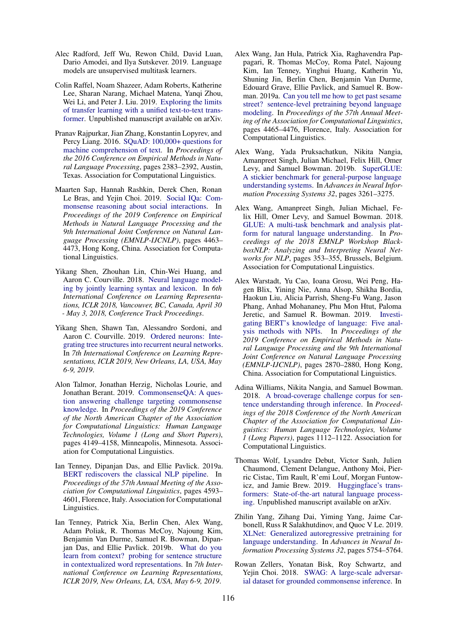- <span id="page-7-12"></span>Alec Radford, Jeff Wu, Rewon Child, David Luan, Dario Amodei, and Ilya Sutskever. 2019. Language models are unsupervised multitask learners.
- <span id="page-7-9"></span>Colin Raffel, Noam Shazeer, Adam Roberts, Katherine Lee, Sharan Narang, Michael Matena, Yanqi Zhou, Wei Li, and Peter J. Liu. 2019. [Exploring the limits](http://arXiv.org/abs/1910.10683) [of transfer learning with a unified text-to-text trans](http://arXiv.org/abs/1910.10683)[former.](http://arXiv.org/abs/1910.10683) Unpublished manuscript available on arXiv.
- <span id="page-7-11"></span>Pranav Rajpurkar, Jian Zhang, Konstantin Lopyrev, and Percy Liang. 2016. [SQuAD: 100,000+ questions for](https://doi.org/10.18653/v1/D16-1264) [machine comprehension of text.](https://doi.org/10.18653/v1/D16-1264) In *Proceedings of the 2016 Conference on Empirical Methods in Natural Language Processing*, pages 2383–2392, Austin, Texas. Association for Computational Linguistics.
- <span id="page-7-4"></span>Maarten Sap, Hannah Rashkin, Derek Chen, Ronan Le Bras, and Yejin Choi. 2019. [Social IQa: Com](https://doi.org/10.18653/v1/D19-1454)[monsense reasoning about social interactions.](https://doi.org/10.18653/v1/D19-1454) In *Proceedings of the 2019 Conference on Empirical Methods in Natural Language Processing and the 9th International Joint Conference on Natural Language Processing (EMNLP-IJCNLP)*, pages 4463– 4473, Hong Kong, China. Association for Computational Linguistics.
- <span id="page-7-14"></span>Yikang Shen, Zhouhan Lin, Chin-Wei Huang, and Aaron C. Courville. 2018. [Neural language model](https://openreview.net/forum?id=rkgOLb-0W)[ing by jointly learning syntax and lexicon.](https://openreview.net/forum?id=rkgOLb-0W) In *6th International Conference on Learning Representations, ICLR 2018, Vancouver, BC, Canada, April 30 - May 3, 2018, Conference Track Proceedings*.
- <span id="page-7-15"></span>Yikang Shen, Shawn Tan, Alessandro Sordoni, and Aaron C. Courville. 2019. [Ordered neurons: Inte](https://openreview.net/forum?id=B1l6qiR5F7)[grating tree structures into recurrent neural networks.](https://openreview.net/forum?id=B1l6qiR5F7) In *7th International Conference on Learning Representations, ICLR 2019, New Orleans, LA, USA, May 6-9, 2019*.
- <span id="page-7-5"></span>Alon Talmor, Jonathan Herzig, Nicholas Lourie, and Jonathan Berant. 2019. [CommonsenseQA: A ques](https://doi.org/10.18653/v1/N19-1421)[tion answering challenge targeting commonsense](https://doi.org/10.18653/v1/N19-1421) [knowledge.](https://doi.org/10.18653/v1/N19-1421) In *Proceedings of the 2019 Conference of the North American Chapter of the Association for Computational Linguistics: Human Language Technologies, Volume 1 (Long and Short Papers)*, pages 4149–4158, Minneapolis, Minnesota. Association for Computational Linguistics.
- <span id="page-7-6"></span>Ian Tenney, Dipanjan Das, and Ellie Pavlick. 2019a. [BERT rediscovers the classical NLP pipeline.](https://doi.org/10.18653/v1/P19-1452) In *Proceedings of the 57th Annual Meeting of the Association for Computational Linguistics*, pages 4593– 4601, Florence, Italy. Association for Computational Linguistics.
- <span id="page-7-3"></span>Ian Tenney, Patrick Xia, Berlin Chen, Alex Wang, Adam Poliak, R. Thomas McCoy, Najoung Kim, Benjamin Van Durme, Samuel R. Bowman, Dipanjan Das, and Ellie Pavlick. 2019b. [What do you](https://openreview.net/forum?id=SJzSgnRcKX) [learn from context? probing for sentence structure](https://openreview.net/forum?id=SJzSgnRcKX) [in contextualized word representations.](https://openreview.net/forum?id=SJzSgnRcKX) In *7th International Conference on Learning Representations, ICLR 2019, New Orleans, LA, USA, May 6-9, 2019*.
- <span id="page-7-8"></span>Alex Wang, Jan Hula, Patrick Xia, Raghavendra Pappagari, R. Thomas McCoy, Roma Patel, Najoung Kim, Ian Tenney, Yinghui Huang, Katherin Yu, Shuning Jin, Berlin Chen, Benjamin Van Durme, Edouard Grave, Ellie Pavlick, and Samuel R. Bowman. 2019a. [Can you tell me how to get past sesame](https://doi.org/10.18653/v1/P19-1439) [street? sentence-level pretraining beyond language](https://doi.org/10.18653/v1/P19-1439) [modeling.](https://doi.org/10.18653/v1/P19-1439) In *Proceedings of the 57th Annual Meeting of the Association for Computational Linguistics*, pages 4465–4476, Florence, Italy. Association for Computational Linguistics.
- <span id="page-7-2"></span>Alex Wang, Yada Pruksachatkun, Nikita Nangia, Amanpreet Singh, Julian Michael, Felix Hill, Omer Levy, and Samuel Bowman. 2019b. [SuperGLUE:](http://papers.nips.cc/paper/8589-superglue-a-stickier-benchmark-for-general-purpose-language-understanding-systems.pdf) [A stickier benchmark for general-purpose language](http://papers.nips.cc/paper/8589-superglue-a-stickier-benchmark-for-general-purpose-language-understanding-systems.pdf) [understanding systems.](http://papers.nips.cc/paper/8589-superglue-a-stickier-benchmark-for-general-purpose-language-understanding-systems.pdf) In *Advances in Neural Information Processing Systems 32*, pages 3261–3275.
- <span id="page-7-1"></span>Alex Wang, Amanpreet Singh, Julian Michael, Felix Hill, Omer Levy, and Samuel Bowman. 2018. [GLUE: A multi-task benchmark and analysis plat](https://doi.org/10.18653/v1/W18-5446)[form for natural language understanding.](https://doi.org/10.18653/v1/W18-5446) In *Proceedings of the 2018 EMNLP Workshop BlackboxNLP: Analyzing and Interpreting Neural Networks for NLP*, pages 353–355, Brussels, Belgium. Association for Computational Linguistics.
- <span id="page-7-7"></span>Alex Warstadt, Yu Cao, Ioana Grosu, Wei Peng, Hagen Blix, Yining Nie, Anna Alsop, Shikha Bordia, Haokun Liu, Alicia Parrish, Sheng-Fu Wang, Jason Phang, Anhad Mohananey, Phu Mon Htut, Paloma Jeretic, and Samuel R. Bowman. 2019. [Investi](https://doi.org/10.18653/v1/D19-1286)[gating BERT's knowledge of language: Five anal](https://doi.org/10.18653/v1/D19-1286)[ysis methods with NPIs.](https://doi.org/10.18653/v1/D19-1286) In *Proceedings of the 2019 Conference on Empirical Methods in Natural Language Processing and the 9th International Joint Conference on Natural Language Processing (EMNLP-IJCNLP)*, pages 2870–2880, Hong Kong, China. Association for Computational Linguistics.
- <span id="page-7-10"></span>Adina Williams, Nikita Nangia, and Samuel Bowman. 2018. [A broad-coverage challenge corpus for sen](http://aclweb.org/anthology/N18-1101)[tence understanding through inference.](http://aclweb.org/anthology/N18-1101) In *Proceedings of the 2018 Conference of the North American Chapter of the Association for Computational Linguistics: Human Language Technologies, Volume 1 (Long Papers)*, pages 1112–1122. Association for Computational Linguistics.
- <span id="page-7-0"></span>Thomas Wolf, Lysandre Debut, Victor Sanh, Julien Chaumond, Clement Delangue, Anthony Moi, Pierric Cistac, Tim Rault, R'emi Louf, Morgan Funtowicz, and Jamie Brew. 2019. [Huggingface's trans](https://arxiv.org/abs/1910.03771)[formers: State-of-the-art natural language process](https://arxiv.org/abs/1910.03771)[ing.](https://arxiv.org/abs/1910.03771) Unpublished manuscript available on arXiv.
- <span id="page-7-13"></span>Zhilin Yang, Zihang Dai, Yiming Yang, Jaime Carbonell, Russ R Salakhutdinov, and Quoc V Le. 2019. [XLNet: Generalized autoregressive pretraining for](http://papers.nips.cc/paper/8812-xlnet-generalized-autoregressive-pretraining-for-language-understanding.pdf) [language understanding.](http://papers.nips.cc/paper/8812-xlnet-generalized-autoregressive-pretraining-for-language-understanding.pdf) In *Advances in Neural Information Processing Systems 32*, pages 5754–5764.
- <span id="page-7-16"></span>Rowan Zellers, Yonatan Bisk, Roy Schwartz, and Yejin Choi. 2018. [SWAG: A large-scale adversar](https://doi.org/10.18653/v1/D18-1009)[ial dataset for grounded commonsense inference.](https://doi.org/10.18653/v1/D18-1009) In